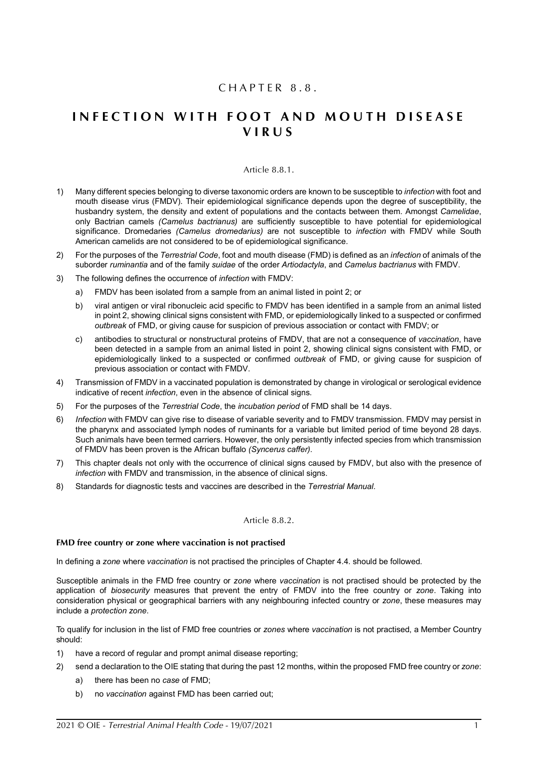# $CHAPTER 8.8.$

# **INFECTION WITH FOOT AND MOUTH DISEASE V I R U S**

#### Article 8.8.1.

- <span id="page-0-1"></span>1) Many different species belonging to diverse taxonomic orders are known to be susceptible to *infection* with foot and mouth disease virus (FMDV). Their epidemiological significance depends upon the degree of susceptibility, the husbandry system, the density and extent of populations and the contacts between them. Amongst *Camelidae*, only Bactrian camels *(Camelus bactrianus)* are sufficiently susceptible to have potential for epidemiological significance. Dromedaries *(Camelus dromedarius)* are not susceptible to *infection* with FMDV while South American camelids are not considered to be of epidemiological significance.
- 2) For the purposes of the *Terrestrial Code*, foot and mouth disease (FMD) is defined as an *infection* of animals of the suborder *ruminantia* and of the family *suidae* of the order *Artiodactyla*, and *Camelus bactrianus* with FMDV.
- 3) The following defines the occurrence of *infection* with FMDV:
	- a) FMDV has been isolated from a sample from an animal listed in point 2; or
	- b) viral antigen or viral ribonucleic acid specific to FMDV has been identified in a sample from an animal listed in point 2, showing clinical signs consistent with FMD, or epidemiologically linked to a suspected or confirmed *outbreak* of FMD, or giving cause for suspicion of previous association or contact with FMDV; or
	- c) antibodies to structural or nonstructural proteins of FMDV, that are not a consequence of *vaccination*, have been detected in a sample from an animal listed in point 2, showing clinical signs consistent with FMD, or epidemiologically linked to a suspected or confirmed *outbreak* of FMD, or giving cause for suspicion of previous association or contact with FMDV.
- 4) Transmission of FMDV in a vaccinated population is demonstrated by change in virological or serological evidence indicative of recent *infection*, even in the absence of clinical signs.
- 5) For the purposes of the *Terrestrial Code*, the *incubation period* of FMD shall be 14 days.
- 6) *Infection* with FMDV can give rise to disease of variable severity and to FMDV transmission. FMDV may persist in the pharynx and associated lymph nodes of ruminants for a variable but limited period of time beyond 28 days. Such animals have been termed carriers. However, the only persistently infected species from which transmission of FMDV has been proven is the African buffalo *(Syncerus caffer)*.
- 7) This chapter deals not only with the occurrence of clinical signs caused by FMDV, but also with the presence of *infection* with FMDV and transmission, in the absence of clinical signs.
- 8) Standards for diagnostic tests and vaccines are described in the *Terrestrial Manual*.

#### Article 8.8.2.

#### <span id="page-0-0"></span>**FMD free country or zone where vaccination is not practised**

In defining a *zone* where *vaccination* is not practised the principles of Chapter 4.4. should be followed.

Susceptible animals in the FMD free country or *zone* where *vaccination* is not practised should be protected by the application of *biosecurity* measures that prevent the entry of FMDV into the free country or *zone*. Taking into consideration physical or geographical barriers with any neighbouring infected country or *zone*, these measures may include a *protection zone*.

To qualify for inclusion in the list of FMD free countries or *zones* where *vaccination* is not practised, a Member Country should:

- 1) have a record of regular and prompt animal disease reporting;
- 2) send a declaration to the OIE stating that during the past 12 months, within the proposed FMD free country or *zone*:
	- a) there has been no *case* of FMD;
	- b) no *vaccination* against FMD has been carried out;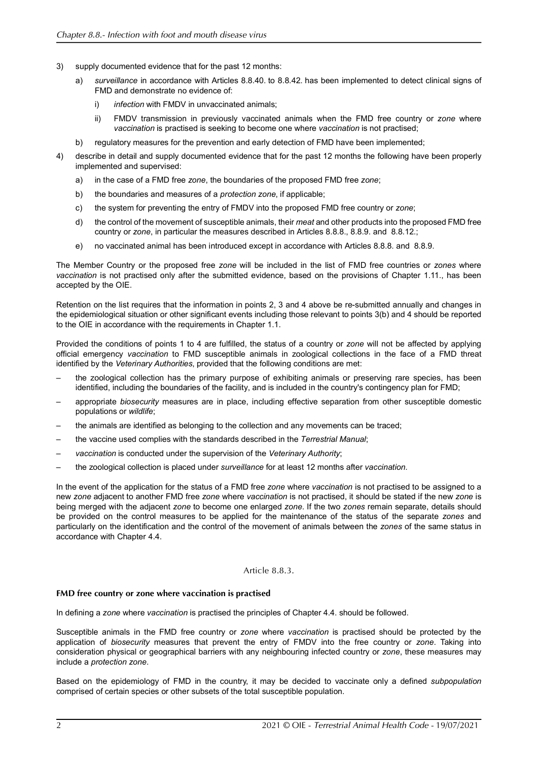- 3) supply documented evidence that for the past 12 months:
	- a) *surveillance* in accordance with Articles [8.8.40.](#page-15-0) to [8.8.42.](#page-18-0) has been implemented to detect clinical signs of FMD and demonstrate no evidence of:
		- i) *infection* with FMDV in unvaccinated animals;
		- ii) FMDV transmission in previously vaccinated animals when the FMD free country or *zone* where *vaccination* is practised is seeking to become one where *vaccination* is not practised;
	- b) regulatory measures for the prevention and early detection of FMD have been implemented;
- 4) describe in detail and supply documented evidence that for the past 12 months the following have been properly implemented and supervised:
	- a) in the case of a FMD free *zone*, the boundaries of the proposed FMD free *zone*;
	- b) the boundaries and measures of a *protection zone*, if applicable;
	- c) the system for preventing the entry of FMDV into the proposed FMD free country or *zone*;
	- d) the control of the movement of susceptible animals, their *meat* and other products into the proposed FMD free country or *zone*, in particular the measures described in Articles [8.8.8.](#page-5-0), [8.8.9.](#page-5-1) and [8.8.12.;](#page-6-0)
	- e) no vaccinated animal has been introduced except in accordance with Articles [8.8.8.](#page-5-0) and [8.8.9.](#page-5-1)

The Member Country or the proposed free *zone* will be included in the list of FMD free countries or *zones* where *vaccination* is not practised only after the submitted evidence, based on the provisions of Chapter 1.11., has been accepted by the OIE.

Retention on the list requires that the information in points 2, 3 and 4 above be re-submitted annually and changes in the epidemiological situation or other significant events including those relevant to points 3(b) and 4 should be reported to the OIE in accordance with the requirements in Chapter 1.1.

Provided the conditions of points 1 to 4 are fulfilled, the status of a country or *zone* will not be affected by applying official emergency *vaccination* to FMD susceptible animals in zoological collections in the face of a FMD threat identified by the *Veterinary Authorities*, provided that the following conditions are met:

- the zoological collection has the primary purpose of exhibiting animals or preserving rare species, has been identified, including the boundaries of the facility, and is included in the country's contingency plan for FMD;
- appropriate *biosecurity* measures are in place, including effective separation from other susceptible domestic populations or *wildlife*;
- the animals are identified as belonging to the collection and any movements can be traced;
- the vaccine used complies with the standards described in the *Terrestrial Manual*;
- *vaccination* is conducted under the supervision of the *Veterinary Authority*;
- the zoological collection is placed under *surveillance* for at least 12 months after *vaccination*.

In the event of the application for the status of a FMD free *zone* where *vaccination* is not practised to be assigned to a new *zone* adjacent to another FMD free *zone* where *vaccination* is not practised, it should be stated if the new *zone* is being merged with the adjacent *zone* to become one enlarged *zone*. If the two *zones* remain separate, details should be provided on the control measures to be applied for the maintenance of the status of the separate *zones* and particularly on the identification and the control of the movement of animals between the *zones* of the same status in accordance with Chapter 4.4.

#### Article 8.8.3.

#### <span id="page-1-0"></span>**FMD free country or zone where vaccination is practised**

In defining a *zone* where *vaccination* is practised the principles of Chapter 4.4. should be followed.

Susceptible animals in the FMD free country or *zone* where *vaccination* is practised should be protected by the application of *biosecurity* measures that prevent the entry of FMDV into the free country or *zone*. Taking into consideration physical or geographical barriers with any neighbouring infected country or *zone*, these measures may include a *protection zone*.

Based on the epidemiology of FMD in the country, it may be decided to vaccinate only a defined *subpopulation* comprised of certain species or other subsets of the total susceptible population.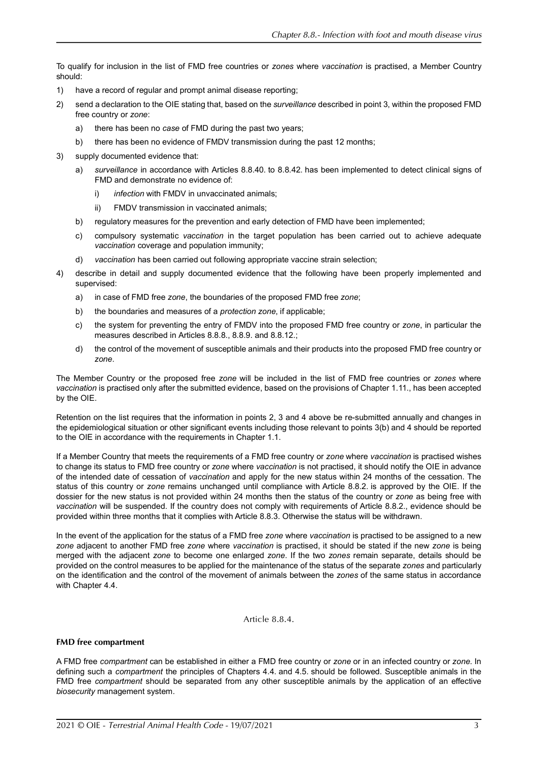To qualify for inclusion in the list of FMD free countries or *zones* where *vaccination* is practised, a Member Country should:

- 1) have a record of regular and prompt animal disease reporting;
- 2) send a declaration to the OIE stating that, based on the *surveillance* described in point 3, within the proposed FMD free country or *zone*:
	- a) there has been no *case* of FMD during the past two years;
	- b) there has been no evidence of FMDV transmission during the past 12 months;
- 3) supply documented evidence that:
	- a) *surveillance* in accordance with Articles [8.8.40.](#page-15-0) to [8.8.42.](#page-18-0) has been implemented to detect clinical signs of FMD and demonstrate no evidence of:
		- i) *infection* with FMDV in unvaccinated animals;
		- ii) FMDV transmission in vaccinated animals;
	- b) regulatory measures for the prevention and early detection of FMD have been implemented;
	- c) compulsory systematic *vaccination* in the target population has been carried out to achieve adequate *vaccination* coverage and population immunity;
	- d) *vaccination* has been carried out following appropriate vaccine strain selection;
- 4) describe in detail and supply documented evidence that the following have been properly implemented and supervised:
	- a) in case of FMD free *zone*, the boundaries of the proposed FMD free *zone*;
	- b) the boundaries and measures of a *protection zone*, if applicable;
	- c) the system for preventing the entry of FMDV into the proposed FMD free country or *zone*, in particular the measures described in Articles [8.8.8.](#page-5-0), [8.8.9.](#page-5-1) and [8.8.12.](#page-6-0);
	- d) the control of the movement of susceptible animals and their products into the proposed FMD free country or *zone*.

The Member Country or the proposed free *zone* will be included in the list of FMD free countries or *zones* where *vaccination* is practised only after the submitted evidence, based on the provisions of Chapter 1.11., has been accepted by the OIE.

Retention on the list requires that the information in points 2, 3 and 4 above be re-submitted annually and changes in the epidemiological situation or other significant events including those relevant to points 3(b) and 4 should be reported to the OIE in accordance with the requirements in Chapter 1.1.

If a Member Country that meets the requirements of a FMD free country or *zone* where *vaccination* is practised wishes to change its status to FMD free country or *zone* where *vaccination* is not practised, it should notify the OIE in advance of the intended date of cessation of *vaccination* and apply for the new status within 24 months of the cessation. The status of this country or *zone* remains unchanged until compliance with Article [8.8.2.](#page-0-0) is approved by the OIE. If the dossier for the new status is not provided within 24 months then the status of the country or *zone* as being free with *vaccination* will be suspended. If the country does not comply with requirements of Article [8.8.2.,](#page-0-0) evidence should be provided within three months that it complies with Article [8.8.3.](#page-1-0) Otherwise the status will be withdrawn.

In the event of the application for the status of a FMD free *zone* where *vaccination* is practised to be assigned to a new *zone* adjacent to another FMD free *zone* where *vaccination* is practised, it should be stated if the new *zone* is being merged with the adjacent *zone* to become one enlarged *zone*. If the two *zones* remain separate, details should be provided on the control measures to be applied for the maintenance of the status of the separate *zones* and particularly on the identification and the control of the movement of animals between the *zones* of the same status in accordance with Chapter 4.4.

Article 8.8.4.

# <span id="page-2-0"></span>**FMD free compartment**

A FMD free *compartment* can be established in either a FMD free country or *zone* or in an infected country or *zone*. In defining such a *compartment* the principles of Chapters 4.4. and 4.5. should be followed. Susceptible animals in the FMD free *compartment* should be separated from any other susceptible animals by the application of an effective *biosecurity* management system.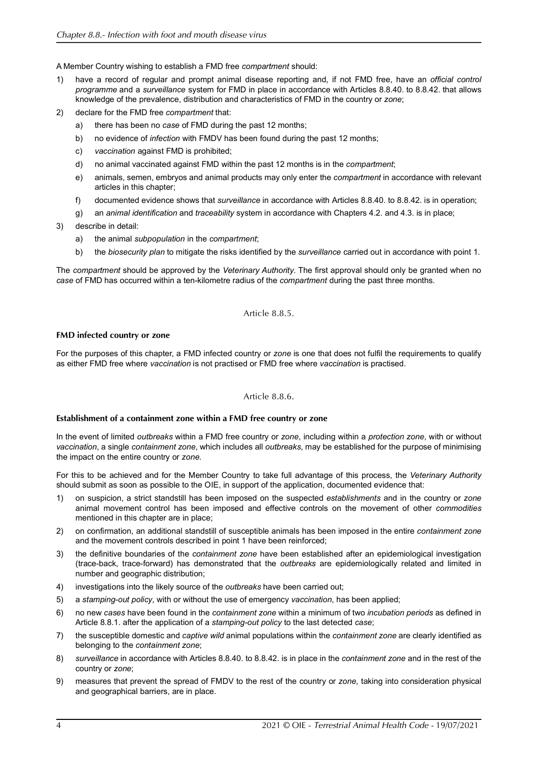A Member Country wishing to establish a FMD free *compartment* should:

- 1) have a record of regular and prompt animal disease reporting and, if not FMD free, have an *official control programme* and a *surveillance* system for FMD in place in accordance with Articles [8.8.40.](#page-15-0) to [8.8.42.](#page-18-0) that allows knowledge of the prevalence, distribution and characteristics of FMD in the country or *zone*;
- 2) declare for the FMD free *compartment* that:
	- a) there has been no *case* of FMD during the past 12 months;
	- b) no evidence of *infection* with FMDV has been found during the past 12 months;
	- c) *vaccination* against FMD is prohibited;
	- d) no animal vaccinated against FMD within the past 12 months is in the *compartment*;
	- e) animals, semen, embryos and animal products may only enter the *compartment* in accordance with relevant articles in this chapter;
	- f) documented evidence shows that *surveillance* in accordance with Articles [8.8.40.](#page-15-0) to [8.8.42.](#page-18-0) is in operation;
	- g) an *animal identification* and *traceability* system in accordance with Chapters 4.2. and 4.3. is in place;

#### 3) describe in detail:

- a) the animal *subpopulation* in the *compartment*;
- b) the *biosecurity plan* to mitigate the risks identified by the *surveillance* carried out in accordance with point 1.

The *compartment* should be approved by the *Veterinary Authority*. The first approval should only be granted when no *case* of FMD has occurred within a ten-kilometre radius of the *compartment* during the past three months.

#### Article 8.8.5.

#### **FMD infected country or zone**

For the purposes of this chapter, a FMD infected country or *zone* is one that does not fulfil the requirements to qualify as either FMD free where *vaccination* is not practised or FMD free where *vaccination* is practised.

# Article 8.8.6.

#### <span id="page-3-0"></span>**Establishment of a containment zone within a FMD free country or zone**

In the event of limited *outbreaks* within a FMD free country or *zone*, including within a *protection zone*, with or without *vaccination*, a single *containment zone*, which includes all *outbreaks*, may be established for the purpose of minimising the impact on the entire country or *zone*.

For this to be achieved and for the Member Country to take full advantage of this process, the *Veterinary Authority* should submit as soon as possible to the OIE, in support of the application, documented evidence that:

- 1) on suspicion, a strict standstill has been imposed on the suspected *establishments* and in the country or *zone* animal movement control has been imposed and effective controls on the movement of other *commodities* mentioned in this chapter are in place;
- 2) on confirmation, an additional standstill of susceptible animals has been imposed in the entire *containment zone* and the movement controls described in point 1 have been reinforced;
- 3) the definitive boundaries of the *containment zone* have been established after an epidemiological investigation (trace-back, trace-forward) has demonstrated that the *outbreaks* are epidemiologically related and limited in number and geographic distribution;
- 4) investigations into the likely source of the *outbreaks* have been carried out;
- 5) a *stamping-out policy*, with or without the use of emergency *vaccination*, has been applied;
- 6) no new *cases* have been found in the *containment zone* within a minimum of two *incubation periods* as defined in Article [8.8.1.](#page-0-1) after the application of a *stamping-out policy* to the last detected *case*;
- 7) the susceptible domestic and *captive wild* animal populations within the *containment zone* are clearly identified as belonging to the *containment zone*;
- 8) *surveillance* in accordance with Articles [8.8.40.](#page-15-0) to [8.8.42.](#page-18-0) is in place in the *containment zone* and in the rest of the country or *zone*;
- 9) measures that prevent the spread of FMDV to the rest of the country or *zone*, taking into consideration physical and geographical barriers, are in place.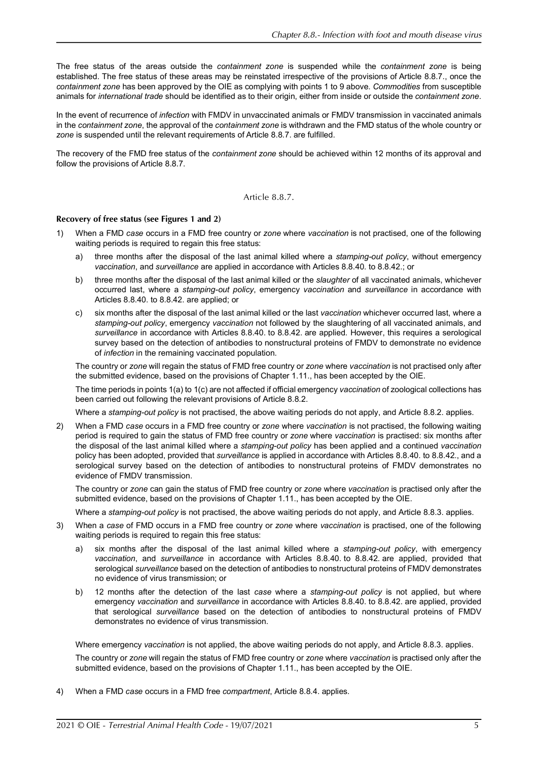The free status of the areas outside the *containment zone* is suspended while the *containment zone* is being established. The free status of these areas may be reinstated irrespective of the provisions of Article [8.8.7.](#page-4-0), once the *containment zone* has been approved by the OIE as complying with points 1 to 9 above. *Commodities* from susceptible animals for *international trade* should be identified as to their origin, either from inside or outside the *containment zone*.

In the event of recurrence of *infection* with FMDV in unvaccinated animals or FMDV transmission in vaccinated animals in the *containment zone*, the approval of the *containment zone* is withdrawn and the FMD status of the whole country or *zone* is suspended until the relevant requirements of Article [8.8.7.](#page-4-0) are fulfilled.

The recovery of the FMD free status of the *containment zone* should be achieved within 12 months of its approval and follow the provisions of Article [8.8.7.](#page-4-0)

Article 8.8.7.

# <span id="page-4-0"></span>**Recovery of free status (see Figures 1 and 2)**

- 1) When a FMD *case* occurs in a FMD free country or *zone* where *vaccination* is not practised, one of the following waiting periods is required to regain this free status:
	- a) three months after the disposal of the last animal killed where a *stamping-out policy*, without emergency *vaccination*, and *surveillance* are applied in accordance with Articles [8.8.40.](#page-15-0) to [8.8.42.](#page-18-0); or
	- b) three months after the disposal of the last animal killed or the *slaughter* of all vaccinated animals, whichever occurred last, where a *stamping-out policy*, emergency *vaccination* and *surveillance* in accordance with Articles [8.8.40.](#page-15-0) to [8.8.42.](#page-18-0) are applied; or
	- c) six months after the disposal of the last animal killed or the last *vaccination* whichever occurred last, where a *stamping-out policy*, emergency *vaccination* not followed by the slaughtering of all vaccinated animals, and *surveillance* in accordance with Articles [8.8.40.](#page-15-0) to [8.8.42.](#page-18-0) are applied. However, this requires a serological survey based on the detection of antibodies to nonstructural proteins of FMDV to demonstrate no evidence of *infection* in the remaining vaccinated population.

The country or *zone* will regain the status of FMD free country or *zone* where *vaccination* is not practised only after the submitted evidence, based on the provisions of Chapter 1.11., has been accepted by the OIE.

The time periods in points 1(a) to 1(c) are not affected if official emergency *vaccination* of zoological collections has been carried out following the relevant provisions of Article [8.8.2.](#page-0-0)

Where a *stamping-out policy* is not practised, the above waiting periods do not apply, and Article [8.8.2.](#page-0-0) applies.

2) When a FMD *case* occurs in a FMD free country or *zone* where *vaccination* is not practised, the following waiting period is required to gain the status of FMD free country or *zone* where *vaccination* is practised: six months after the disposal of the last animal killed where a *stamping-out policy* has been applied and a continued *vaccination* policy has been adopted, provided that *surveillance* is applied in accordance with Articles [8.8.40.](#page-15-0) to [8.8.42.,](#page-18-0) and a serological survey based on the detection of antibodies to nonstructural proteins of FMDV demonstrates no evidence of FMDV transmission.

The country or *zone* can gain the status of FMD free country or *zone* where *vaccination* is practised only after the submitted evidence, based on the provisions of Chapter 1.11., has been accepted by the OIE.

Where a *stamping-out policy* is not practised, the above waiting periods do not apply, and Article [8.8.3.](#page-1-0) applies.

- 3) When a *case* of FMD occurs in a FMD free country or *zone* where *vaccination* is practised, one of the following waiting periods is required to regain this free status:
	- a) six months after the disposal of the last animal killed where a *stamping-out policy*, with emergency *vaccination*, and *surveillance* in accordance with Articles [8.8.40.](#page-15-0) to [8.8.42.](#page-18-0) are applied, provided that serological *surveillance* based on the detection of antibodies to nonstructural proteins of FMDV demonstrates no evidence of virus transmission; or
	- b) 12 months after the detection of the last *case* where a *stamping-out policy* is not applied, but where emergency *vaccination* and *surveillance* in accordance with Articles [8.8.40.](#page-15-0) to [8.8.42.](#page-18-0) are applied, provided that serological *surveillance* based on the detection of antibodies to nonstructural proteins of FMDV demonstrates no evidence of virus transmission.

Where emergency *vaccination* is not applied, the above waiting periods do not apply, and Article [8.8.3.](#page-1-0) applies.

The country or *zone* will regain the status of FMD free country or *zone* where *vaccination* is practised only after the submitted evidence, based on the provisions of Chapter 1.11., has been accepted by the OIE.

4) When a FMD *case* occurs in a FMD free *compartment*, Article [8.8.4.](#page-2-0) applies.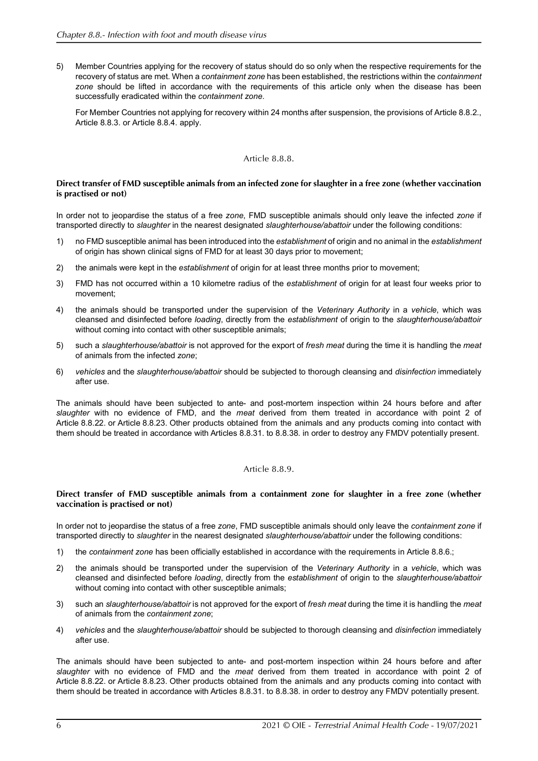5) Member Countries applying for the recovery of status should do so only when the respective requirements for the recovery of status are met. When a *containment zone* has been established, the restrictions within the *containment* zone should be lifted in accordance with the requirements of this article only when the disease has been successfully eradicated within the *containment zone*.

For Member Countries not applying for recovery within 24 months after suspension, the provisions of Article [8.8.2.](#page-0-0), Article [8.8.3.](#page-1-0) or Article [8.8.4.](#page-2-0) apply.

# Article 8.8.8.

### <span id="page-5-0"></span>**Direct transfer of FMD susceptible animals from an infected zone for slaughter in a free zone (whether vaccination is practised or not)**

In order not to jeopardise the status of a free *zone*, FMD susceptible animals should only leave the infected *zone* if transported directly to *slaughter* in the nearest designated *slaughterhouse/abattoir* under the following conditions:

- 1) no FMD susceptible animal has been introduced into the *establishment* of origin and no animal in the *establishment* of origin has shown clinical signs of FMD for at least 30 days prior to movement;
- 2) the animals were kept in the *establishment* of origin for at least three months prior to movement;
- 3) FMD has not occurred within a 10 kilometre radius of the *establishment* of origin for at least four weeks prior to movement;
- 4) the animals should be transported under the supervision of the *Veterinary Authority* in a *vehicle*, which was cleansed and disinfected before *loading*, directly from the *establishment* of origin to the *slaughterhouse/abattoir* without coming into contact with other susceptible animals;
- 5) such a *slaughterhouse/abattoir* is not approved for the export of *fresh meat* during the time it is handling the *meat* of animals from the infected *zone*;
- 6) *vehicles* and the *slaughterhouse/abattoir* should be subjected to thorough cleansing and *disinfection* immediately after use.

The animals should have been subjected to ante- and post-mortem inspection within 24 hours before and after *slaughter* with no evidence of FMD, and the *meat* derived from them treated in accordance with point 2 of Article [8.8.22.](#page-10-0) or Article [8.8.23.](#page-10-1) Other products obtained from the animals and any products coming into contact with them should be treated in accordance with Articles [8.8.31.](#page-12-0) to [8.8.38.](#page-14-0) in order to destroy any FMDV potentially present.

# Article 8.8.9.

#### <span id="page-5-1"></span>**Direct transfer of FMD susceptible animals from a containment zone for slaughter in a free zone (whether vaccination is practised or not)**

In order not to jeopardise the status of a free *zone*, FMD susceptible animals should only leave the *containment zone* if transported directly to *slaughter* in the nearest designated *slaughterhouse/abattoir* under the following conditions:

- 1) the *containment zone* has been officially established in accordance with the requirements in Article [8.8.6.](#page-3-0);
- 2) the animals should be transported under the supervision of the *Veterinary Authority* in a *vehicle*, which was cleansed and disinfected before *loading*, directly from the *establishment* of origin to the *slaughterhouse/abattoir* without coming into contact with other susceptible animals;
- 3) such an *slaughterhouse/abattoir* is not approved for the export of *fresh meat* during the time it is handling the *meat* of animals from the *containment zone*;
- 4) *vehicles* and the *slaughterhouse/abattoir* should be subjected to thorough cleansing and *disinfection* immediately after use.

The animals should have been subjected to ante- and post-mortem inspection within 24 hours before and after *slaughter* with no evidence of FMD and the *meat* derived from them treated in accordance with point 2 of Article [8.8.22.](#page-10-0) or Article [8.8.23.](#page-10-1) Other products obtained from the animals and any products coming into contact with them should be treated in accordance with Articles [8.8.31.](#page-12-0) to [8.8.38.](#page-14-0) in order to destroy any FMDV potentially present.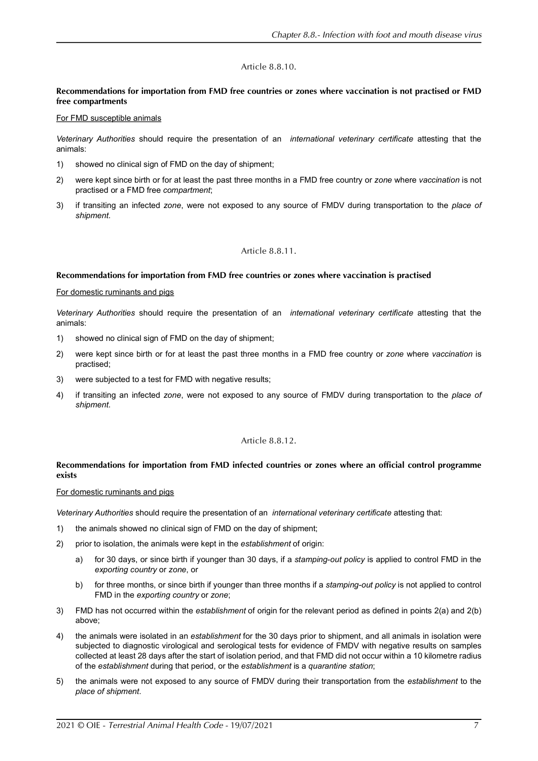# Article 8.8.10.

# <span id="page-6-1"></span>**Recommendations for importation from FMD free countries or zones where vaccination is not practised or FMD free compartments**

#### For FMD susceptible animals

*Veterinary Authorities* should require the presentation of an *international veterinary certificate* attesting that the animals:

- 1) showed no clinical sign of FMD on the day of shipment;
- 2) were kept since birth or for at least the past three months in a FMD free country or *zone* where *vaccination* is not practised or a FMD free *compartment*;
- 3) if transiting an infected *zone*, were not exposed to any source of FMDV during transportation to the *place of shipment*.

# Article 8.8.11.

# <span id="page-6-2"></span>**Recommendations for importation from FMD free countries or zones where vaccination is practised**

#### For domestic ruminants and pigs

*Veterinary Authorities* should require the presentation of an *international veterinary certificate* attesting that the animals:

- 1) showed no clinical sign of FMD on the day of shipment;
- 2) were kept since birth or for at least the past three months in a FMD free country or *zone* where *vaccination* is practised;
- 3) were subjected to a test for FMD with negative results;
- 4) if transiting an infected *zone*, were not exposed to any source of FMDV during transportation to the *place of shipment*.

# Article 8.8.12.

# <span id="page-6-0"></span>**Recommendations for importation from FMD infected countries or zones where an official control programme exists**

# For domestic ruminants and pigs

*Veterinary Authorities* should require the presentation of an *international veterinary certificate* attesting that:

- 1) the animals showed no clinical sign of FMD on the day of shipment;
- 2) prior to isolation, the animals were kept in the *establishment* of origin:
	- a) for 30 days, or since birth if younger than 30 days, if a *stamping-out policy* is applied to control FMD in the *exporting country* or *zone*, or
	- b) for three months, or since birth if younger than three months if a *stamping-out policy* is not applied to control FMD in the *exporting country* or *zone*;
- 3) FMD has not occurred within the *establishment* of origin for the relevant period as defined in points 2(a) and 2(b) above;
- 4) the animals were isolated in an *establishment* for the 30 days prior to shipment, and all animals in isolation were subjected to diagnostic virological and serological tests for evidence of FMDV with negative results on samples collected at least 28 days after the start of isolation period, and that FMD did not occur within a 10 kilometre radius of the *establishment* during that period, or the *establishment* is a *quarantine station*;
- 5) the animals were not exposed to any source of FMDV during their transportation from the *establishment* to the *place of shipment*.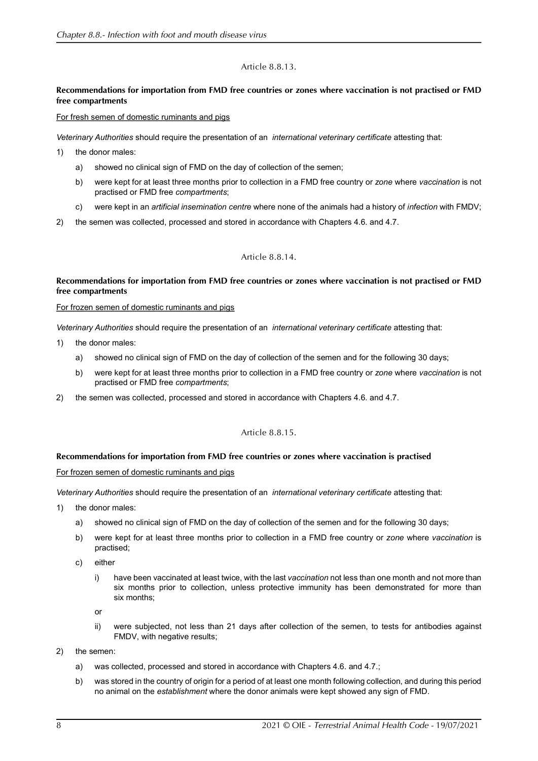# Article 8.8.13.

# <span id="page-7-0"></span>**Recommendations for importation from FMD free countries or zones where vaccination is not practised or FMD free compartments**

### For fresh semen of domestic ruminants and pigs

*Veterinary Authorities* should require the presentation of an *international veterinary certificate* attesting that:

- 1) the donor males:
	- a) showed no clinical sign of FMD on the day of collection of the semen;
	- b) were kept for at least three months prior to collection in a FMD free country or *zone* where *vaccination* is not practised or FMD free *compartments*;
	- c) were kept in an *artificial insemination centre* where none of the animals had a history of *infection* with FMDV;
- 2) the semen was collected, processed and stored in accordance with Chapters 4.6. and 4.7.

# Article 8.8.14.

# <span id="page-7-1"></span>**Recommendations for importation from FMD free countries or zones where vaccination is not practised or FMD free compartments**

#### For frozen semen of domestic ruminants and pigs

*Veterinary Authorities* should require the presentation of an *international veterinary certificate* attesting that:

- 1) the donor males:
	- a) showed no clinical sign of FMD on the day of collection of the semen and for the following 30 days;
	- b) were kept for at least three months prior to collection in a FMD free country or *zone* where *vaccination* is not practised or FMD free *compartments*;
- 2) the semen was collected, processed and stored in accordance with Chapters 4.6. and 4.7.

# Article 8.8.15.

# <span id="page-7-2"></span>**Recommendations for importation from FMD free countries or zones where vaccination is practised**

#### For frozen semen of domestic ruminants and pigs

*Veterinary Authorities* should require the presentation of an *international veterinary certificate* attesting that:

- 1) the donor males:
	- a) showed no clinical sign of FMD on the day of collection of the semen and for the following 30 days;
	- b) were kept for at least three months prior to collection in a FMD free country or *zone* where *vaccination* is practised;
	- c) either
		- i) have been vaccinated at least twice, with the last *vaccination* not less than one month and not more than six months prior to collection, unless protective immunity has been demonstrated for more than six months;

or

- ii) were subjected, not less than 21 days after collection of the semen, to tests for antibodies against FMDV, with negative results;
- 2) the semen:
	- a) was collected, processed and stored in accordance with Chapters 4.6. and 4.7.;
	- b) was stored in the country of origin for a period of at least one month following collection, and during this period no animal on the *establishment* where the donor animals were kept showed any sign of FMD.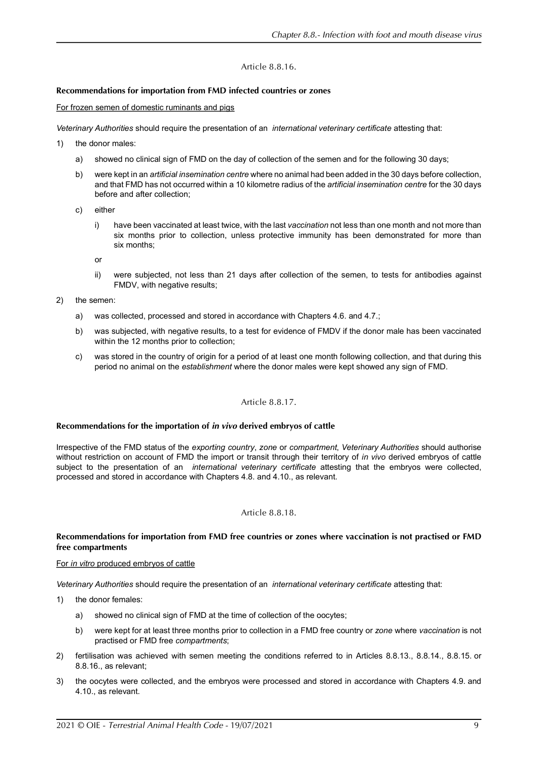# Article 8.8.16.

# <span id="page-8-0"></span>**Recommendations for importation from FMD infected countries or zones**

For frozen semen of domestic ruminants and pigs

*Veterinary Authorities* should require the presentation of an *international veterinary certificate* attesting that:

- 1) the donor males:
	- a) showed no clinical sign of FMD on the day of collection of the semen and for the following 30 days;
	- b) were kept in an *artificial insemination centre* where no animal had been added in the 30 days before collection, and that FMD has not occurred within a 10 kilometre radius of the *artificial insemination centre* for the 30 days before and after collection;
	- c) either
		- i) have been vaccinated at least twice, with the last *vaccination* not less than one month and not more than six months prior to collection, unless protective immunity has been demonstrated for more than six months;

or

ii) were subjected, not less than 21 days after collection of the semen, to tests for antibodies against FMDV, with negative results;

2) the semen:

- a) was collected, processed and stored in accordance with Chapters 4.6. and 4.7.;
- b) was subjected, with negative results, to a test for evidence of FMDV if the donor male has been vaccinated within the 12 months prior to collection;
- c) was stored in the country of origin for a period of at least one month following collection, and that during this period no animal on the *establishment* where the donor males were kept showed any sign of FMD.

# Article 8.8.17.

# **Recommendations for the importation of** *in vivo* **derived embryos of cattle**

Irrespective of the FMD status of the *exporting country*, *zone* or *compartment*, *Veterinary Authorities* should authorise without restriction on account of FMD the import or transit through their territory of *in vivo* derived embryos of cattle subject to the presentation of an *international veterinary certificate* attesting that the embryos were collected, processed and stored in accordance with Chapters 4.8. and 4.10., as relevant.

# Article 8.8.18.

# **Recommendations for importation from FMD free countries or zones where vaccination is not practised or FMD free compartments**

# For *in vitro* produced embryos of cattle

*Veterinary Authorities* should require the presentation of an *international veterinary certificate* attesting that:

- 1) the donor females:
	- a) showed no clinical sign of FMD at the time of collection of the oocytes;
	- b) were kept for at least three months prior to collection in a FMD free country or *zone* where *vaccination* is not practised or FMD free *compartments*;
- 2) fertilisation was achieved with semen meeting the conditions referred to in Articles [8.8.13.,](#page-7-0) [8.8.14.,](#page-7-1) [8.8.15.](#page-7-2) or [8.8.16.](#page-8-0), as relevant;
- 3) the oocytes were collected, and the embryos were processed and stored in accordance with Chapters 4.9. and 4.10., as relevant.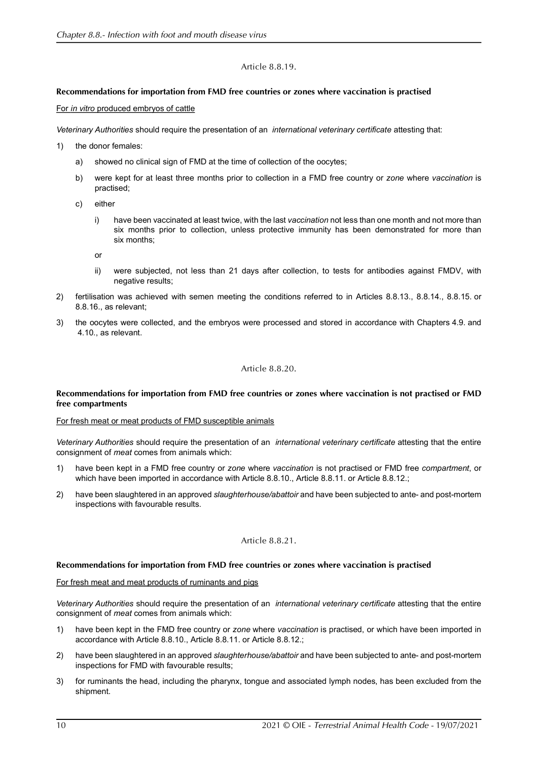# Article 8.8.19.

# **Recommendations for importation from FMD free countries or zones where vaccination is practised**

#### For *in vitro* produced embryos of cattle

*Veterinary Authorities* should require the presentation of an *international veterinary certificate* attesting that:

- 1) the donor females:
	- a) showed no clinical sign of FMD at the time of collection of the oocytes;
	- b) were kept for at least three months prior to collection in a FMD free country or *zone* where *vaccination* is practised;
	- c) either
		- i) have been vaccinated at least twice, with the last *vaccination* not less than one month and not more than six months prior to collection, unless protective immunity has been demonstrated for more than six months;

or

- ii) were subjected, not less than 21 days after collection, to tests for antibodies against FMDV, with negative results;
- 2) fertilisation was achieved with semen meeting the conditions referred to in Articles [8.8.13.,](#page-7-0) [8.8.14.,](#page-7-1) [8.8.15.](#page-7-2) or [8.8.16.](#page-8-0), as relevant;
- 3) the oocytes were collected, and the embryos were processed and stored in accordance with Chapters 4.9. and 4.10., as relevant.

# Article 8.8.20.

#### **Recommendations for importation from FMD free countries or zones where vaccination is not practised or FMD free compartments**

#### For fresh meat or meat products of FMD susceptible animals

*Veterinary Authorities* should require the presentation of an *international veterinary certificate* attesting that the entire consignment of *meat* comes from animals which:

- 1) have been kept in a FMD free country or *zone* where *vaccination* is not practised or FMD free *compartment*, or which have been imported in accordance with Article [8.8.10.,](#page-6-1) Article [8.8.11.](#page-6-2) or Article [8.8.12.;](#page-6-0)
- 2) have been slaughtered in an approved *slaughterhouse/abattoir* and have been subjected to ante- and post-mortem inspections with favourable results.

# Article 8.8.21.

#### **Recommendations for importation from FMD free countries or zones where vaccination is practised**

#### For fresh meat and meat products of ruminants and pigs

*Veterinary Authorities* should require the presentation of an *international veterinary certificate* attesting that the entire consignment of *meat* comes from animals which:

- 1) have been kept in the FMD free country or *zone* where *vaccination* is practised, or which have been imported in accordance with Article [8.8.10.,](#page-6-1) Article [8.8.11.](#page-6-2) or Article [8.8.12.;](#page-6-0)
- 2) have been slaughtered in an approved *slaughterhouse/abattoir* and have been subjected to ante- and post-mortem inspections for FMD with favourable results;
- 3) for ruminants the head, including the pharynx, tongue and associated lymph nodes, has been excluded from the shipment.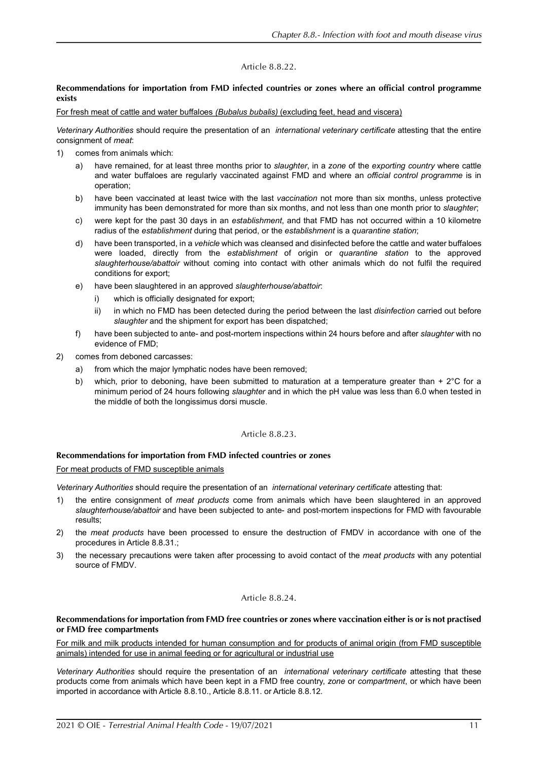# Article 8.8.22.

# <span id="page-10-0"></span>**Recommendations for importation from FMD infected countries or zones where an official control programme exists**

For fresh meat of cattle and water buffaloes *(Bubalus bubalis)* (excluding feet, head and viscera)

*Veterinary Authorities* should require the presentation of an *international veterinary certificate* attesting that the entire consignment of *meat*:

- 1) comes from animals which:
	- a) have remained, for at least three months prior to *slaughter*, in a *zone* of the *exporting country* where cattle and water buffaloes are regularly vaccinated against FMD and where an *official control programme* is in operation;
	- b) have been vaccinated at least twice with the last *vaccination* not more than six months, unless protective immunity has been demonstrated for more than six months, and not less than one month prior to *slaughter*;
	- c) were kept for the past 30 days in an *establishment*, and that FMD has not occurred within a 10 kilometre radius of the *establishment* during that period, or the *establishment* is a *quarantine station*;
	- d) have been transported, in a *vehicle* which was cleansed and disinfected before the cattle and water buffaloes were loaded, directly from the *establishment* of origin or *quarantine station* to the approved *slaughterhouse/abattoir* without coming into contact with other animals which do not fulfil the required conditions for export;
	- e) have been slaughtered in an approved *slaughterhouse/abattoir*:
		- which is officially designated for export;
		- ii) in which no FMD has been detected during the period between the last *disinfection* carried out before *slaughter* and the shipment for export has been dispatched;
	- f) have been subjected to ante- and post-mortem inspections within 24 hours before and after *slaughter* with no evidence of FMD;
- 2) comes from deboned carcasses:
	- a) from which the major lymphatic nodes have been removed;
	- b) which, prior to deboning, have been submitted to maturation at a temperature greater than  $+ 2^{\circ}$ C for a minimum period of 24 hours following *slaughter* and in which the pH value was less than 6.0 when tested in the middle of both the longissimus dorsi muscle.

#### Article 8.8.23.

# <span id="page-10-1"></span>**Recommendations for importation from FMD infected countries or zones**

#### For meat products of FMD susceptible animals

*Veterinary Authorities* should require the presentation of an *international veterinary certificate* attesting that:

- 1) the entire consignment of *meat products* come from animals which have been slaughtered in an approved *slaughterhouse/abattoir* and have been subjected to ante- and post-mortem inspections for FMD with favourable results;
- 2) the *meat products* have been processed to ensure the destruction of FMDV in accordance with one of the procedures in Article [8.8.31.](#page-12-0);
- 3) the necessary precautions were taken after processing to avoid contact of the *meat products* with any potential source of FMDV.

# Article 8.8.24.

#### **Recommendations for importation from FMD free countries or zones where vaccination either is or is not practised or FMD free compartments**

For milk and milk products intended for human consumption and for products of animal origin (from FMD susceptible animals) intended for use in animal feeding or for agricultural or industrial use

*Veterinary Authorities* should require the presentation of an *international veterinary certificate* attesting that these products come from animals which have been kept in a FMD free country, *zone* or *compartment*, or which have been imported in accordance with Article [8.8.10.](#page-6-1), Article [8.8.11.](#page-6-2) or Article [8.8.12.](#page-6-0)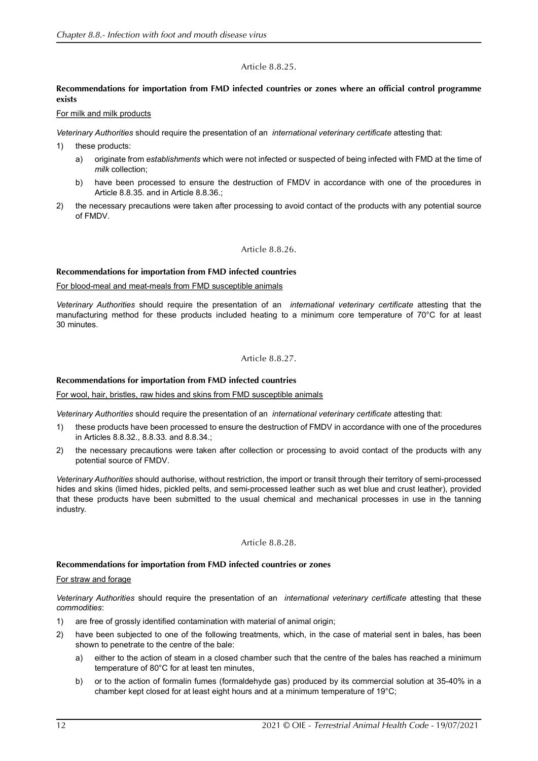# Article 8.8.25.

# **Recommendations for importation from FMD infected countries or zones where an official control programme exists**

#### For milk and milk products

*Veterinary Authorities* should require the presentation of an *international veterinary certificate* attesting that:

- 1) these products:
	- a) originate from *establishments* which were not infected or suspected of being infected with FMD at the time of *milk* collection;
	- b) have been processed to ensure the destruction of FMDV in accordance with one of the procedures in Article [8.8.35.](#page-13-0) and in Article [8.8.36.](#page-13-1);
- 2) the necessary precautions were taken after processing to avoid contact of the products with any potential source of FMDV.

# Article 8.8.26.

# **Recommendations for importation from FMD infected countries**

For blood-meal and meat-meals from FMD susceptible animals

*Veterinary Authorities* should require the presentation of an *international veterinary certificate* attesting that the manufacturing method for these products included heating to a minimum core temperature of 70°C for at least 30 minutes.

# Article 8.8.27.

# **Recommendations for importation from FMD infected countries**

For wool, hair, bristles, raw hides and skins from FMD susceptible animals

*Veterinary Authorities* should require the presentation of an *international veterinary certificate* attesting that:

- 1) these products have been processed to ensure the destruction of FMDV in accordance with one of the procedures in Articles [8.8.32.](#page-12-1), [8.8.33.](#page-13-2) and [8.8.34.;](#page-13-3)
- 2) the necessary precautions were taken after collection or processing to avoid contact of the products with any potential source of FMDV.

*Veterinary Authorities* should authorise, without restriction, the import or transit through their territory of semi-processed hides and skins (limed hides, pickled pelts, and semi-processed leather such as wet blue and crust leather), provided that these products have been submitted to the usual chemical and mechanical processes in use in the tanning industry.

# Article 8.8.28.

# **Recommendations for importation from FMD infected countries or zones**

#### For straw and forage

*Veterinary Authorities* should require the presentation of an *international veterinary certificate* attesting that these *commodities*:

- 1) are free of grossly identified contamination with material of animal origin;
- 2) have been subjected to one of the following treatments, which, in the case of material sent in bales, has been shown to penetrate to the centre of the bale:
	- a) either to the action of steam in a closed chamber such that the centre of the bales has reached a minimum temperature of 80°C for at least ten minutes,
	- b) or to the action of formalin fumes (formaldehyde gas) produced by its commercial solution at 35-40% in a chamber kept closed for at least eight hours and at a minimum temperature of 19°C;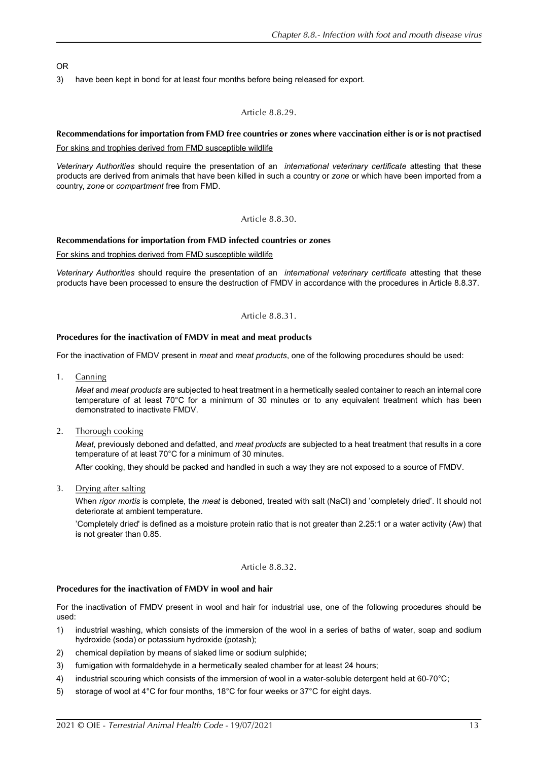# OR

3) have been kept in bond for at least four months before being released for export.

# Article 8.8.29.

# **Recommendations for importation from FMD free countries or zones where vaccination either is or is not practised**

For skins and trophies derived from FMD susceptible wildlife

*Veterinary Authorities* should require the presentation of an *international veterinary certificate* attesting that these products are derived from animals that have been killed in such a country or *zone* or which have been imported from a country, *zone* or *compartment* free from FMD.

# Article 8.8.30.

# **Recommendations for importation from FMD infected countries or zones**

For skins and trophies derived from FMD susceptible wildlife

*Veterinary Authorities* should require the presentation of an *international veterinary certificate* attesting that these products have been processed to ensure the destruction of FMDV in accordance with the procedures in Article [8.8.37.](#page-13-4)

# Article 8.8.31.

# <span id="page-12-0"></span>**Procedures for the inactivation of FMDV in meat and meat products**

For the inactivation of FMDV present in *meat* and *meat products*, one of the following procedures should be used:

1. Canning

*Meat* and *meat products* are subjected to heat treatment in a hermetically sealed container to reach an internal core temperature of at least 70°C for a minimum of 30 minutes or to any equivalent treatment which has been demonstrated to inactivate FMDV.

2. Thorough cooking

*Meat*, previously deboned and defatted, and *meat products* are subjected to a heat treatment that results in a core temperature of at least 70°C for a minimum of 30 minutes.

After cooking, they should be packed and handled in such a way they are not exposed to a source of FMDV.

3. Drying after salting

When *rigor mortis* is complete, the *meat* is deboned, treated with salt (NaCl) and 'completely dried'. It should not deteriorate at ambient temperature.

'Completely dried' is defined as a moisture protein ratio that is not greater than 2.25:1 or a water activity (Aw) that is not greater than 0.85.

#### Article 8.8.32.

# <span id="page-12-1"></span>**Procedures for the inactivation of FMDV in wool and hair**

For the inactivation of FMDV present in wool and hair for industrial use, one of the following procedures should be used:

- 1) industrial washing, which consists of the immersion of the wool in a series of baths of water, soap and sodium hydroxide (soda) or potassium hydroxide (potash);
- 2) chemical depilation by means of slaked lime or sodium sulphide;
- 3) fumigation with formaldehyde in a hermetically sealed chamber for at least 24 hours;
- 4) industrial scouring which consists of the immersion of wool in a water-soluble detergent held at 60-70°C;
- 5) storage of wool at 4°C for four months, 18°C for four weeks or 37°C for eight days.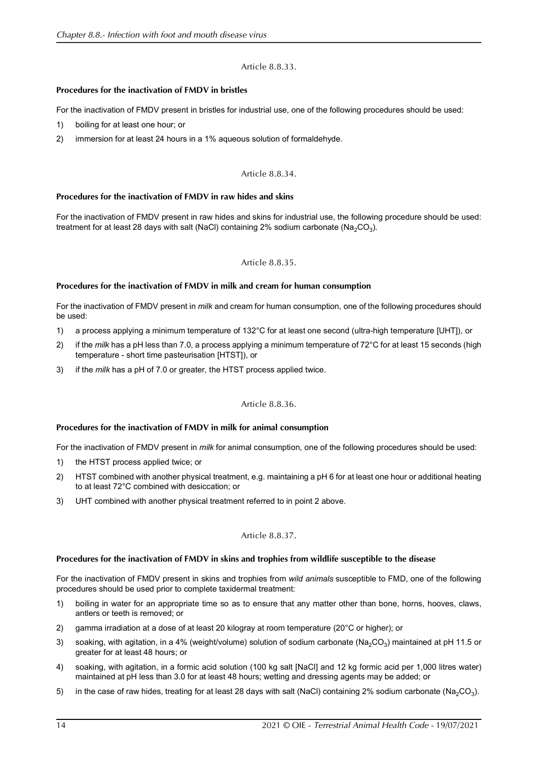# Article 8.8.33.

# <span id="page-13-2"></span>**Procedures for the inactivation of FMDV in bristles**

For the inactivation of FMDV present in bristles for industrial use, one of the following procedures should be used:

- 1) boiling for at least one hour; or
- 2) immersion for at least 24 hours in a 1% aqueous solution of formaldehyde.

# Article 8.8.34.

# <span id="page-13-3"></span>**Procedures for the inactivation of FMDV in raw hides and skins**

For the inactivation of FMDV present in raw hides and skins for industrial use, the following procedure should be used: treatment for at least 28 days with salt (NaCl) containing 2% sodium carbonate (Na<sub>2</sub>CO<sub>3</sub>).

# Article 8.8.35.

#### <span id="page-13-0"></span>**Procedures for the inactivation of FMDV in milk and cream for human consumption**

For the inactivation of FMDV present in *milk* and cream for human consumption, one of the following procedures should be used:

- 1) a process applying a minimum temperature of 132°C for at least one second (ultra-high temperature [UHT]), or
- 2) if the *milk* has a pH less than 7.0, a process applying a minimum temperature of 72°C for at least 15 seconds (high temperature - short time pasteurisation [HTST]), or
- 3) if the *milk* has a pH of 7.0 or greater, the HTST process applied twice.

# Article 8.8.36.

# <span id="page-13-1"></span>**Procedures for the inactivation of FMDV in milk for animal consumption**

For the inactivation of FMDV present in *milk* for animal consumption, one of the following procedures should be used:

- 1) the HTST process applied twice; or
- 2) HTST combined with another physical treatment, e.g. maintaining a pH 6 for at least one hour or additional heating to at least 72°C combined with desiccation; or
- 3) UHT combined with another physical treatment referred to in point 2 above.

# Article 8.8.37.

# <span id="page-13-4"></span>**Procedures for the inactivation of FMDV in skins and trophies from wildlife susceptible to the disease**

For the inactivation of FMDV present in skins and trophies from *wild animals* susceptible to FMD, one of the following procedures should be used prior to complete taxidermal treatment:

- 1) boiling in water for an appropriate time so as to ensure that any matter other than bone, horns, hooves, claws, antlers or teeth is removed; or
- 2) gamma irradiation at a dose of at least 20 kilogray at room temperature (20°C or higher); or
- 3) soaking, with agitation, in a 4% (weight/volume) solution of sodium carbonate ( $Na_2CO_3$ ) maintained at pH 11.5 or greater for at least 48 hours; or
- 4) soaking, with agitation, in a formic acid solution (100 kg salt [NaCl] and 12 kg formic acid per 1,000 litres water) maintained at pH less than 3.0 for at least 48 hours; wetting and dressing agents may be added; or
- 5) in the case of raw hides, treating for at least 28 days with salt (NaCl) containing 2% sodium carbonate (Na<sub>2</sub>CO<sub>3</sub>).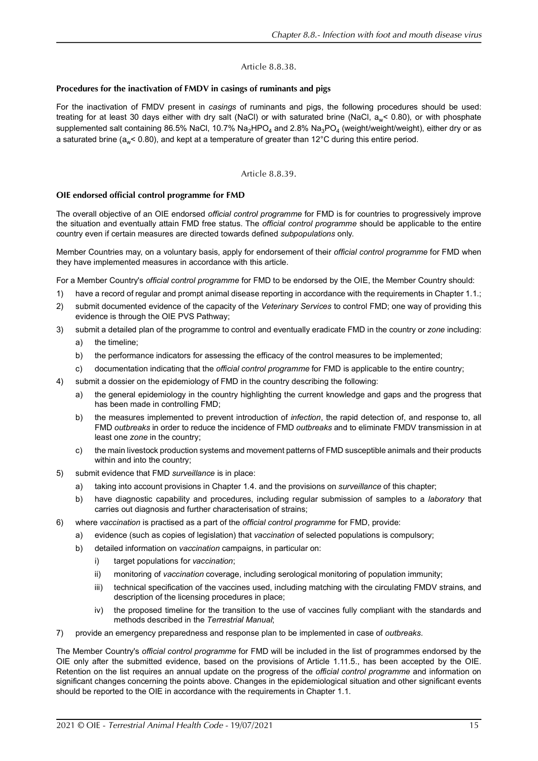# Article 8.8.38.

# <span id="page-14-0"></span>**Procedures for the inactivation of FMDV in casings of ruminants and pigs**

For the inactivation of FMDV present in *casings* of ruminants and pigs, the following procedures should be used: treating for at least 30 days either with dry salt (NaCl) or with saturated brine (NaCl, a<sub>w</sub>< 0.80), or with phosphate supplemented salt containing 86.5% NaCl, 10.7% Na<sub>2</sub>HPO<sub>4</sub> and 2.8% Na<sub>3</sub>PO<sub>4</sub> (weight/weight/weight), either dry or as a saturated brine ( $a_{\omega}$ < 0.80), and kept at a temperature of greater than 12°C during this entire period.

# Article 8.8.39.

# <span id="page-14-1"></span>**OIE endorsed official control programme for FMD**

The overall objective of an OIE endorsed *official control programme* for FMD is for countries to progressively improve the situation and eventually attain FMD free status. The *official control programme* should be applicable to the entire country even if certain measures are directed towards defined *subpopulations* only.

Member Countries may, on a voluntary basis, apply for endorsement of their *official control programme* for FMD when they have implemented measures in accordance with this article.

For a Member Country's *official control programme* for FMD to be endorsed by the OIE, the Member Country should:

- 1) have a record of regular and prompt animal disease reporting in accordance with the requirements in Chapter 1.1.;
- 2) submit documented evidence of the capacity of the *Veterinary Services* to control FMD; one way of providing this evidence is through the OIE PVS Pathway;
- 3) submit a detailed plan of the programme to control and eventually eradicate FMD in the country or *zone* including:
	- a) the timeline;
	- b) the performance indicators for assessing the efficacy of the control measures to be implemented;
	- c) documentation indicating that the *official control programme* for FMD is applicable to the entire country;
- 4) submit a dossier on the epidemiology of FMD in the country describing the following:
	- a) the general epidemiology in the country highlighting the current knowledge and gaps and the progress that has been made in controlling FMD;
	- b) the measures implemented to prevent introduction of *infection*, the rapid detection of, and response to, all FMD *outbreaks* in order to reduce the incidence of FMD *outbreaks* and to eliminate FMDV transmission in at least one *zone* in the country;
	- c) the main livestock production systems and movement patterns of FMD susceptible animals and their products within and into the country;
- 5) submit evidence that FMD *surveillance* is in place:
	- a) taking into account provisions in Chapter 1.4. and the provisions on *surveillance* of this chapter;
	- b) have diagnostic capability and procedures, including regular submission of samples to a *laboratory* that carries out diagnosis and further characterisation of strains;
- 6) where *vaccination* is practised as a part of the *official control programme* for FMD, provide:
	- a) evidence (such as copies of legislation) that *vaccination* of selected populations is compulsory;
	- b) detailed information on *vaccination* campaigns, in particular on:
		- i) target populations for *vaccination*;
		- ii) monitoring of *vaccination* coverage, including serological monitoring of population immunity;
		- iii) technical specification of the vaccines used, including matching with the circulating FMDV strains, and description of the licensing procedures in place;
		- iv) the proposed timeline for the transition to the use of vaccines fully compliant with the standards and methods described in the *Terrestrial Manual*;
- 7) provide an emergency preparedness and response plan to be implemented in case of *outbreaks*.

The Member Country's *official control programme* for FMD will be included in the list of programmes endorsed by the OIE only after the submitted evidence, based on the provisions of Article 1.11.5., has been accepted by the OIE. Retention on the list requires an annual update on the progress of the *official control programme* and information on significant changes concerning the points above. Changes in the epidemiological situation and other significant events should be reported to the OIE in accordance with the requirements in Chapter 1.1.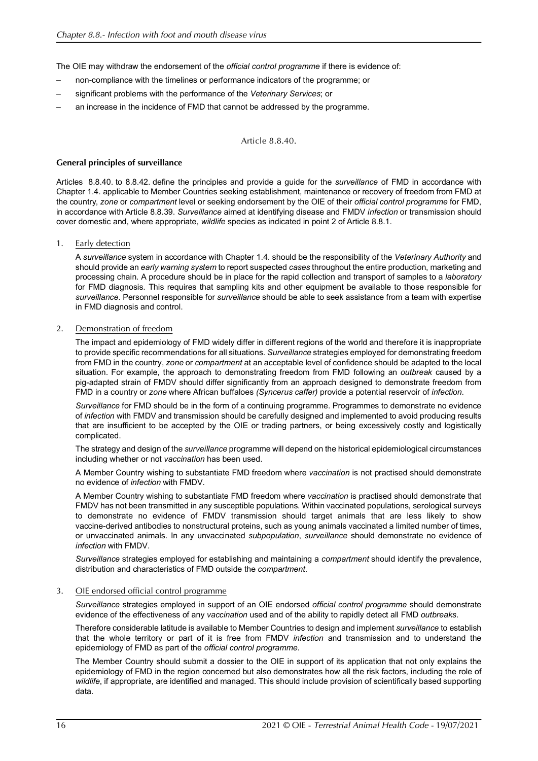The OIE may withdraw the endorsement of the *official control programme* if there is evidence of:

- non-compliance with the timelines or performance indicators of the programme; or
- significant problems with the performance of the *Veterinary Services*; or
- an increase in the incidence of FMD that cannot be addressed by the programme.

# Article 8.8.40.

# <span id="page-15-0"></span>**General principles of surveillance**

Articles [8.8.40.](#page-15-0) to [8.8.42.](#page-18-0) define the principles and provide a guide for the *surveillance* of FMD in accordance with Chapter 1.4. applicable to Member Countries seeking establishment, maintenance or recovery of freedom from FMD at the country, *zone* or *compartment* level or seeking endorsement by the OIE of their *official control programme* for FMD, in accordance with Article [8.8.39.](#page-14-1) *Surveillance* aimed at identifying disease and FMDV *infection* or transmission should cover domestic and, where appropriate, *wildlife* species as indicated in point 2 of Article [8.8.1.](#page-0-1)

# 1. Early detection

A *surveillance* system in accordance with Chapter 1.4. should be the responsibility of the *Veterinary Authority* and should provide an *early warning system* to report suspected *cases* throughout the entire production, marketing and processing chain. A procedure should be in place for the rapid collection and transport of samples to a *laboratory* for FMD diagnosis. This requires that sampling kits and other equipment be available to those responsible for *surveillance*. Personnel responsible for *surveillance* should be able to seek assistance from a team with expertise in FMD diagnosis and control.

# 2. Demonstration of freedom

The impact and epidemiology of FMD widely differ in different regions of the world and therefore it is inappropriate to provide specific recommendations for all situations. *Surveillance* strategies employed for demonstrating freedom from FMD in the country, *zone* or *compartment* at an acceptable level of confidence should be adapted to the local situation. For example, the approach to demonstrating freedom from FMD following an *outbreak* caused by a pig-adapted strain of FMDV should differ significantly from an approach designed to demonstrate freedom from FMD in a country or *zone* where African buffaloes *(Syncerus caffer)* provide a potential reservoir of *infection*.

*Surveillance* for FMD should be in the form of a continuing programme. Programmes to demonstrate no evidence of *infection* with FMDV and transmission should be carefully designed and implemented to avoid producing results that are insufficient to be accepted by the OIE or trading partners, or being excessively costly and logistically complicated.

The strategy and design of the *surveillance* programme will depend on the historical epidemiological circumstances including whether or not *vaccination* has been used.

A Member Country wishing to substantiate FMD freedom where *vaccination* is not practised should demonstrate no evidence of *infection* with FMDV.

A Member Country wishing to substantiate FMD freedom where *vaccination* is practised should demonstrate that FMDV has not been transmitted in any susceptible populations. Within vaccinated populations, serological surveys to demonstrate no evidence of FMDV transmission should target animals that are less likely to show vaccine-derived antibodies to nonstructural proteins, such as young animals vaccinated a limited number of times, or unvaccinated animals. In any unvaccinated *subpopulation*, *surveillance* should demonstrate no evidence of *infection* with FMDV.

*Surveillance* strategies employed for establishing and maintaining a *compartment* should identify the prevalence, distribution and characteristics of FMD outside the *compartment*.

# 3. OIE endorsed official control programme

*Surveillance* strategies employed in support of an OIE endorsed *official control programme* should demonstrate evidence of the effectiveness of any *vaccination* used and of the ability to rapidly detect all FMD *outbreaks*.

Therefore considerable latitude is available to Member Countries to design and implement *surveillance* to establish that the whole territory or part of it is free from FMDV *infection* and transmission and to understand the epidemiology of FMD as part of the *official control programme*.

The Member Country should submit a dossier to the OIE in support of its application that not only explains the epidemiology of FMD in the region concerned but also demonstrates how all the risk factors, including the role of *wildlife*, if appropriate, are identified and managed. This should include provision of scientifically based supporting data.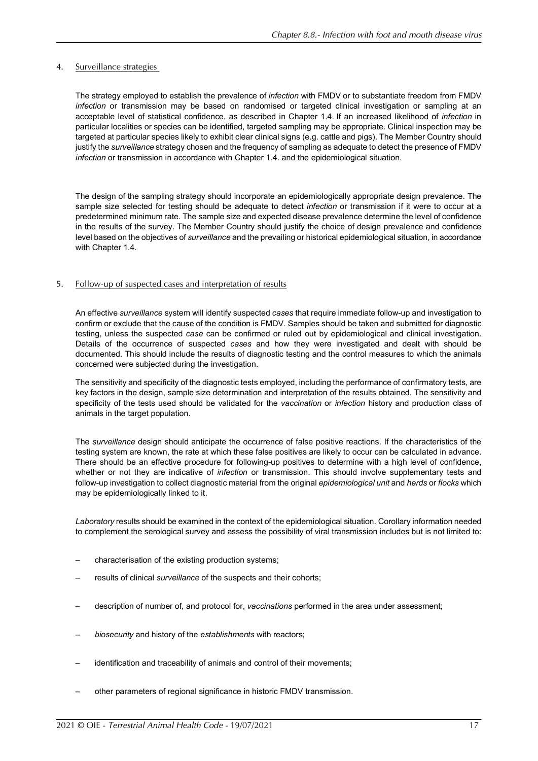# 4. Surveillance strategies

The strategy employed to establish the prevalence of *infection* with FMDV or to substantiate freedom from FMDV *infection* or transmission may be based on randomised or targeted clinical investigation or sampling at an acceptable level of statistical confidence, as described in Chapter 1.4. If an increased likelihood of *infection* in particular localities or species can be identified, targeted sampling may be appropriate. Clinical inspection may be targeted at particular species likely to exhibit clear clinical signs (e.g. cattle and pigs). The Member Country should justify the *surveillance* strategy chosen and the frequency of sampling as adequate to detect the presence of FMDV *infection* or transmission in accordance with Chapter 1.4. and the epidemiological situation.

The design of the sampling strategy should incorporate an epidemiologically appropriate design prevalence. The sample size selected for testing should be adequate to detect *infection* or transmission if it were to occur at a predetermined minimum rate. The sample size and expected disease prevalence determine the level of confidence in the results of the survey. The Member Country should justify the choice of design prevalence and confidence level based on the objectives of *surveillance* and the prevailing or historical epidemiological situation, in accordance with Chapter 1.4.

# 5. Follow-up of suspected cases and interpretation of results

An effective *surveillance* system will identify suspected *cases* that require immediate follow-up and investigation to confirm or exclude that the cause of the condition is FMDV. Samples should be taken and submitted for diagnostic testing, unless the suspected *case* can be confirmed or ruled out by epidemiological and clinical investigation. Details of the occurrence of suspected *cases* and how they were investigated and dealt with should be documented. This should include the results of diagnostic testing and the control measures to which the animals concerned were subjected during the investigation.

The sensitivity and specificity of the diagnostic tests employed, including the performance of confirmatory tests, are key factors in the design, sample size determination and interpretation of the results obtained. The sensitivity and specificity of the tests used should be validated for the *vaccination* or *infection* history and production class of animals in the target population.

The *surveillance* design should anticipate the occurrence of false positive reactions. If the characteristics of the testing system are known, the rate at which these false positives are likely to occur can be calculated in advance. There should be an effective procedure for following-up positives to determine with a high level of confidence, whether or not they are indicative of *infection* or transmission. This should involve supplementary tests and follow-up investigation to collect diagnostic material from the original *epidemiological unit* and *herds* or *flocks* which may be epidemiologically linked to it.

*Laboratory* results should be examined in the context of the epidemiological situation. Corollary information needed to complement the serological survey and assess the possibility of viral transmission includes but is not limited to:

- characterisation of the existing production systems;
- results of clinical *surveillance* of the suspects and their cohorts;
- description of number of, and protocol for, *vaccinations* performed in the area under assessment;
- *biosecurity* and history of the *establishments* with reactors;
- identification and traceability of animals and control of their movements;
- other parameters of regional significance in historic FMDV transmission.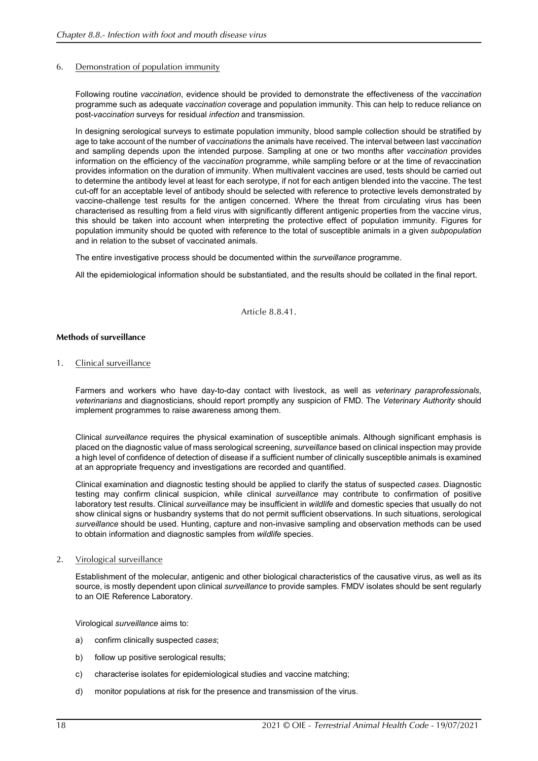# 6. Demonstration of population immunity

Following routine *vaccination*, evidence should be provided to demonstrate the effectiveness of the *vaccination* programme such as adequate *vaccination* coverage and population immunity. This can help to reduce reliance on post-*vaccination* surveys for residual *infection* and transmission.

In designing serological surveys to estimate population immunity, blood sample collection should be stratified by age to take account of the number of *vaccinations* the animals have received. The interval between last *vaccination* and sampling depends upon the intended purpose. Sampling at one or two months after *vaccination* provides information on the efficiency of the *vaccination* programme, while sampling before or at the time of revaccination provides information on the duration of immunity. When multivalent vaccines are used, tests should be carried out to determine the antibody level at least for each serotype, if not for each antigen blended into the vaccine. The test cut-off for an acceptable level of antibody should be selected with reference to protective levels demonstrated by vaccine-challenge test results for the antigen concerned. Where the threat from circulating virus has been characterised as resulting from a field virus with significantly different antigenic properties from the vaccine virus, this should be taken into account when interpreting the protective effect of population immunity. Figures for population immunity should be quoted with reference to the total of susceptible animals in a given *subpopulation* and in relation to the subset of vaccinated animals.

The entire investigative process should be documented within the *surveillance* programme.

All the epidemiological information should be substantiated, and the results should be collated in the final report.

Article 8.8.41.

#### **Methods of surveillance**

1. Clinical surveillance

Farmers and workers who have day-to-day contact with livestock, as well as *veterinary paraprofessionals*, *veterinarians* and diagnosticians, should report promptly any suspicion of FMD. The *Veterinary Authority* should implement programmes to raise awareness among them.

Clinical *surveillance* requires the physical examination of susceptible animals. Although significant emphasis is placed on the diagnostic value of mass serological screening, *surveillance* based on clinical inspection may provide a high level of confidence of detection of disease if a sufficient number of clinically susceptible animals is examined at an appropriate frequency and investigations are recorded and quantified.

Clinical examination and diagnostic testing should be applied to clarify the status of suspected *cases*. Diagnostic testing may confirm clinical suspicion, while clinical *surveillance* may contribute to confirmation of positive laboratory test results. Clinical *surveillance* may be insufficient in *wildlife* and domestic species that usually do not show clinical signs or husbandry systems that do not permit sufficient observations. In such situations, serological *surveillance* should be used. Hunting, capture and non-invasive sampling and observation methods can be used to obtain information and diagnostic samples from *wildlife* species.

# 2. Virological surveillance

Establishment of the molecular, antigenic and other biological characteristics of the causative virus, as well as its source, is mostly dependent upon clinical *surveillance* to provide samples. FMDV isolates should be sent regularly to an OIE Reference Laboratory.

Virological *surveillance* aims to:

- a) confirm clinically suspected *cases*;
- b) follow up positive serological results;
- c) characterise isolates for epidemiological studies and vaccine matching;
- d) monitor populations at risk for the presence and transmission of the virus.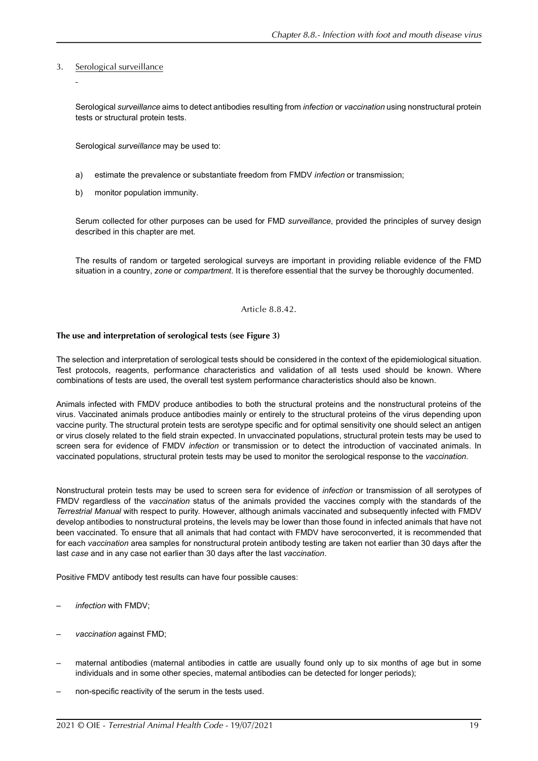# 3. Serological surveillance

Serological *surveillance* aims to detect antibodies resulting from *infection* or *vaccination* using nonstructural protein tests or structural protein tests.

Serological *surveillance* may be used to:

- a) estimate the prevalence or substantiate freedom from FMDV *infection* or transmission;
- b) monitor population immunity.

Serum collected for other purposes can be used for FMD *surveillance*, provided the principles of survey design described in this chapter are met.

The results of random or targeted serological surveys are important in providing reliable evidence of the FMD situation in a country, *zone* or *compartment*. It is therefore essential that the survey be thoroughly documented.

#### Article 8.8.42.

# <span id="page-18-0"></span>**The use and interpretation of serological tests (see Figure 3)**

The selection and interpretation of serological tests should be considered in the context of the epidemiological situation. Test protocols, reagents, performance characteristics and validation of all tests used should be known. Where combinations of tests are used, the overall test system performance characteristics should also be known.

Animals infected with FMDV produce antibodies to both the structural proteins and the nonstructural proteins of the virus. Vaccinated animals produce antibodies mainly or entirely to the structural proteins of the virus depending upon vaccine purity. The structural protein tests are serotype specific and for optimal sensitivity one should select an antigen or virus closely related to the field strain expected. In unvaccinated populations, structural protein tests may be used to screen sera for evidence of FMDV *infection* or transmission or to detect the introduction of vaccinated animals. In vaccinated populations, structural protein tests may be used to monitor the serological response to the *vaccination*.

Nonstructural protein tests may be used to screen sera for evidence of *infection* or transmission of all serotypes of FMDV regardless of the *vaccination* status of the animals provided the vaccines comply with the standards of the *Terrestrial Manual* with respect to purity. However, although animals vaccinated and subsequently infected with FMDV develop antibodies to nonstructural proteins, the levels may be lower than those found in infected animals that have not been vaccinated. To ensure that all animals that had contact with FMDV have seroconverted, it is recommended that for each *vaccination* area samples for nonstructural protein antibody testing are taken not earlier than 30 days after the last *case* and in any case not earlier than 30 days after the last *vaccination*.

Positive FMDV antibody test results can have four possible causes:

- *infection* with FMDV;
- *vaccination* against FMD;
- maternal antibodies (maternal antibodies in cattle are usually found only up to six months of age but in some individuals and in some other species, maternal antibodies can be detected for longer periods);
- non-specific reactivity of the serum in the tests used.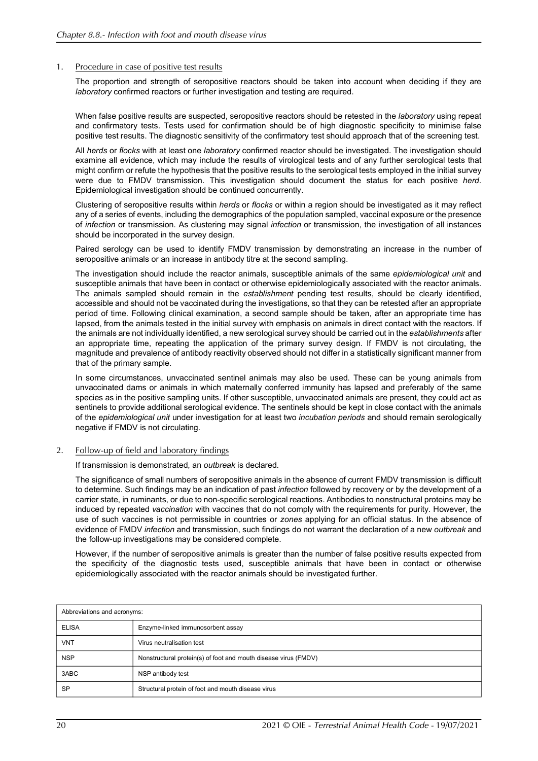# 1. Procedure in case of positive test results

The proportion and strength of seropositive reactors should be taken into account when deciding if they are *laboratory* confirmed reactors or further investigation and testing are required.

When false positive results are suspected, seropositive reactors should be retested in the *laboratory* using repeat and confirmatory tests. Tests used for confirmation should be of high diagnostic specificity to minimise false positive test results. The diagnostic sensitivity of the confirmatory test should approach that of the screening test.

All *herds* or *flocks* with at least one *laboratory* confirmed reactor should be investigated. The investigation should examine all evidence, which may include the results of virological tests and of any further serological tests that might confirm or refute the hypothesis that the positive results to the serological tests employed in the initial survey were due to FMDV transmission. This investigation should document the status for each positive *herd*. Epidemiological investigation should be continued concurrently.

Clustering of seropositive results within *herds* or *flocks* or within a region should be investigated as it may reflect any of a series of events, including the demographics of the population sampled, vaccinal exposure or the presence of *infection* or transmission. As clustering may signal *infection* or transmission, the investigation of all instances should be incorporated in the survey design.

Paired serology can be used to identify FMDV transmission by demonstrating an increase in the number of seropositive animals or an increase in antibody titre at the second sampling.

The investigation should include the reactor animals, susceptible animals of the same *epidemiological unit* and susceptible animals that have been in contact or otherwise epidemiologically associated with the reactor animals. The animals sampled should remain in the *establishment* pending test results, should be clearly identified, accessible and should not be vaccinated during the investigations, so that they can be retested after an appropriate period of time. Following clinical examination, a second sample should be taken, after an appropriate time has lapsed, from the animals tested in the initial survey with emphasis on animals in direct contact with the reactors. If the animals are not individually identified, a new serological survey should be carried out in the *establishments* after an appropriate time, repeating the application of the primary survey design. If FMDV is not circulating, the magnitude and prevalence of antibody reactivity observed should not differ in a statistically significant manner from that of the primary sample.

In some circumstances, unvaccinated sentinel animals may also be used. These can be young animals from unvaccinated dams or animals in which maternally conferred immunity has lapsed and preferably of the same species as in the positive sampling units. If other susceptible, unvaccinated animals are present, they could act as sentinels to provide additional serological evidence. The sentinels should be kept in close contact with the animals of the *epidemiological unit* under investigation for at least two *incubation periods* and should remain serologically negative if FMDV is not circulating.

# 2. Follow-up of field and laboratory findings

If transmission is demonstrated, an *outbreak* is declared.

The significance of small numbers of seropositive animals in the absence of current FMDV transmission is difficult to determine. Such findings may be an indication of past *infection* followed by recovery or by the development of a carrier state, in ruminants, or due to non-specific serological reactions. Antibodies to nonstructural proteins may be induced by repeated *vaccination* with vaccines that do not comply with the requirements for purity. However, the use of such vaccines is not permissible in countries or *zones* applying for an official status. In the absence of evidence of FMDV *infection* and transmission, such findings do not warrant the declaration of a new *outbreak* and the follow-up investigations may be considered complete.

However, if the number of seropositive animals is greater than the number of false positive results expected from the specificity of the diagnostic tests used, susceptible animals that have been in contact or otherwise epidemiologically associated with the reactor animals should be investigated further.

| Abbreviations and acronyms: |                                                                 |
|-----------------------------|-----------------------------------------------------------------|
| <b>ELISA</b>                | Enzyme-linked immunosorbent assay                               |
| <b>VNT</b>                  | Virus neutralisation test                                       |
| <b>NSP</b>                  | Nonstructural protein(s) of foot and mouth disease virus (FMDV) |
| 3ABC                        | NSP antibody test                                               |
| <b>SP</b>                   | Structural protein of foot and mouth disease virus              |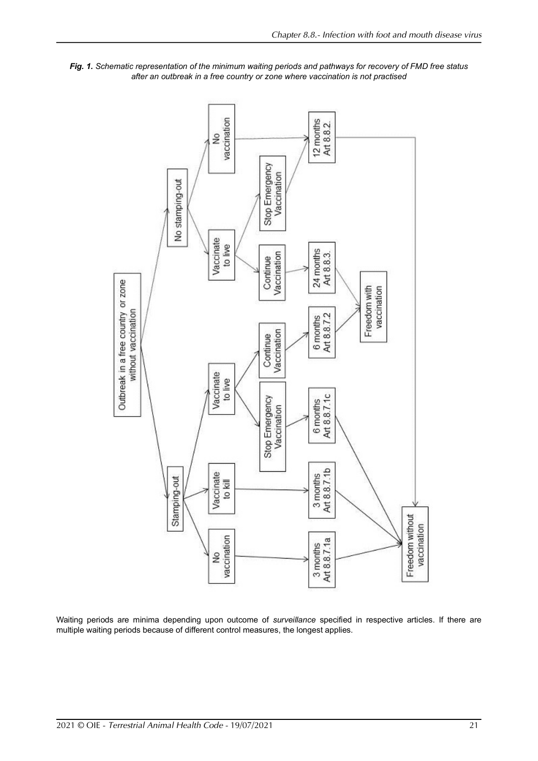

*Fig. 1. Schematic representation of the minimum waiting periods and pathways for recovery of FMD free status after an outbreak in a free country or zone where vaccination is not practised*

Waiting periods are minima depending upon outcome of *surveillance* specified in respective articles. If there are multiple waiting periods because of different control measures, the longest applies.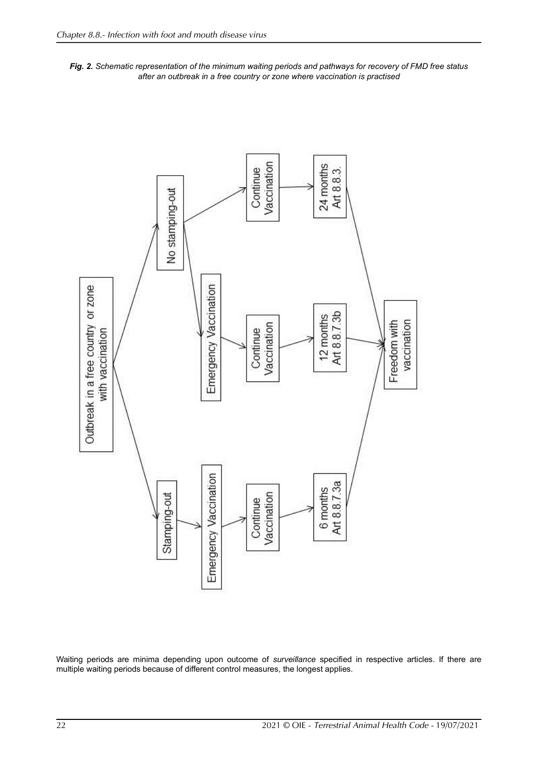



Waiting periods are minima depending upon outcome of *surveillance* specified in respective articles. If there are multiple waiting periods because of different control measures, the longest applies.